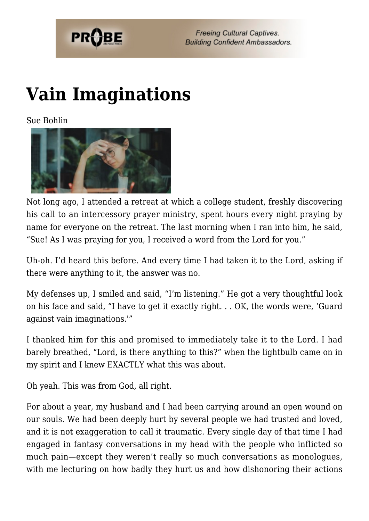

**Freeing Cultural Captives. Building Confident Ambassadors.** 

## **[Vain Imaginations](https://probe.org/vain-imaginations/)**

Sue Bohlin



Not long ago, I attended a retreat at which a college student, freshly discovering his call to an intercessory prayer ministry, spent hours every night praying by name for everyone on the retreat. The last morning when I ran into him, he said, "Sue! As I was praying for you, I received a word from the Lord for you."

Uh-oh. I'd heard this before. And every time I had taken it to the Lord, asking if there were anything to it, the answer was no.

My defenses up, I smiled and said, "I'm listening." He got a very thoughtful look on his face and said, "I have to get it exactly right. . . OK, the words were, 'Guard against vain imaginations.'"

I thanked him for this and promised to immediately take it to the Lord. I had barely breathed, "Lord, is there anything to this?" when the lightbulb came on in my spirit and I knew EXACTLY what this was about.

Oh yeah. This was from God, all right.

For about a year, my husband and I had been carrying around an open wound on our souls. We had been deeply hurt by several people we had trusted and loved, and it is not exaggeration to call it traumatic. Every single day of that time I had engaged in fantasy conversations in my head with the people who inflicted so much pain—except they weren't really so much conversations as monologues, with me lecturing on how badly they hurt us and how dishonoring their actions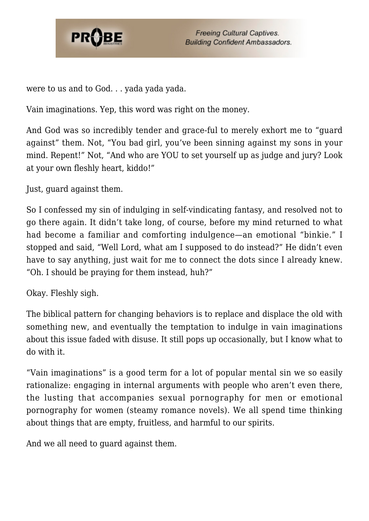

**Freeing Cultural Captives. Building Confident Ambassadors.** 

were to us and to God. . . yada yada yada.

Vain imaginations. Yep, this word was right on the money.

And God was so incredibly tender and grace-ful to merely exhort me to "guard against" them. Not, "You bad girl, you've been sinning against my sons in your mind. Repent!" Not, "And who are YOU to set yourself up as judge and jury? Look at your own fleshly heart, kiddo!"

Just, guard against them.

So I confessed my sin of indulging in self-vindicating fantasy, and resolved not to go there again. It didn't take long, of course, before my mind returned to what had become a familiar and comforting indulgence—an emotional "binkie." I stopped and said, "Well Lord, what am I supposed to do instead?" He didn't even have to say anything, just wait for me to connect the dots since I already knew. "Oh. I should be praying for them instead, huh?"

Okay. Fleshly sigh.

The biblical pattern for changing behaviors is to replace and displace the old with something new, and eventually the temptation to indulge in vain imaginations about this issue faded with disuse. It still pops up occasionally, but I know what to do with it.

"Vain imaginations" is a good term for a lot of popular mental sin we so easily rationalize: engaging in internal arguments with people who aren't even there, the lusting that accompanies sexual pornography for men or emotional pornography for women (steamy romance novels). We all spend time thinking about things that are empty, fruitless, and harmful to our spirits.

And we all need to guard against them.